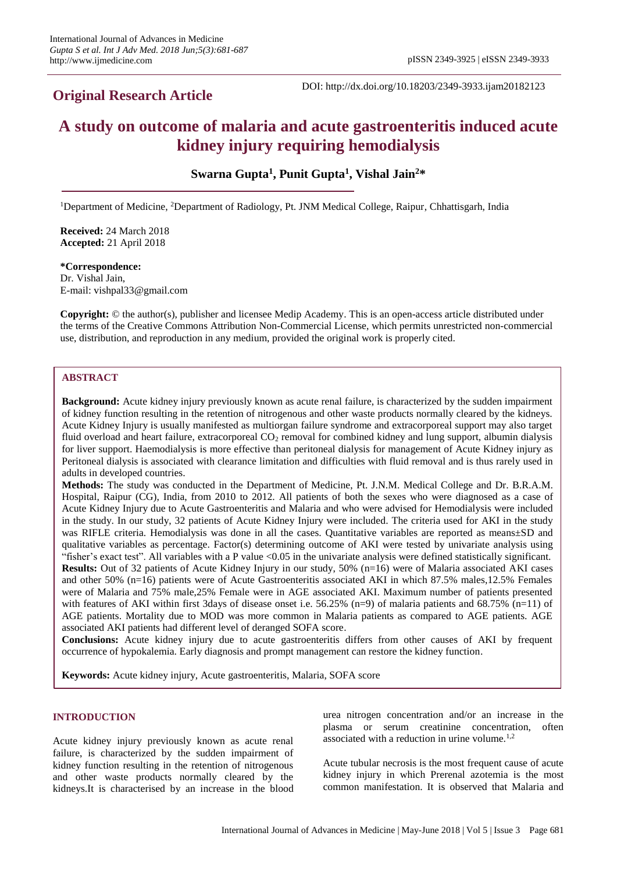# **Original Research Article**

DOI: http://dx.doi.org/10.18203/2349-3933.ijam20182123

# **A study on outcome of malaria and acute gastroenteritis induced acute kidney injury requiring hemodialysis**

**Swarna Gupta<sup>1</sup> , Punit Gupta<sup>1</sup> , Vishal Jain<sup>2</sup>\***

<sup>1</sup>Department of Medicine, <sup>2</sup>Department of Radiology, Pt. JNM Medical College, Raipur, Chhattisgarh, India

**Received:** 24 March 2018 **Accepted:** 21 April 2018

**\*Correspondence:** Dr. Vishal Jain, E-mail: vishpal33@gmail.com

**Copyright:** © the author(s), publisher and licensee Medip Academy. This is an open-access article distributed under the terms of the Creative Commons Attribution Non-Commercial License, which permits unrestricted non-commercial use, distribution, and reproduction in any medium, provided the original work is properly cited.

# **ABSTRACT**

**Background:** Acute kidney injury previously known as acute renal failure, is characterized by the sudden impairment of kidney function resulting in the retention of nitrogenous and other waste products normally cleared by the kidneys. Acute Kidney Injury is usually manifested as multiorgan failure syndrome and extracorporeal support may also target fluid overload and heart failure, extracorporeal  $CO<sub>2</sub>$  removal for combined kidney and lung support, albumin dialysis for liver support. Haemodialysis is more effective than peritoneal dialysis for management of Acute Kidney injury as Peritoneal dialysis is associated with clearance limitation and difficulties with fluid removal and is thus rarely used in adults in developed countries.

**Methods:** The study was conducted in the Department of Medicine, Pt. J.N.M. Medical College and Dr. B.R.A.M. Hospital, Raipur (CG), India, from 2010 to 2012. All patients of both the sexes who were diagnosed as a case of Acute Kidney Injury due to Acute Gastroenteritis and Malaria and who were advised for Hemodialysis were included in the study. In our study, 32 patients of Acute Kidney Injury were included. The criteria used for AKI in the study was RIFLE criteria. Hemodialysis was done in all the cases. Quantitative variables are reported as means±SD and qualitative variables as percentage. Factor(s) determining outcome of AKI were tested by univariate analysis using "fisher's exact test". All variables with a P value <0.05 in the univariate analysis were defined statistically significant. **Results:** Out of 32 patients of Acute Kidney Injury in our study, 50% (n=16) were of Malaria associated AKI cases and other 50% (n=16) patients were of Acute Gastroenteritis associated AKI in which 87.5% males,12.5% Females were of Malaria and 75% male,25% Female were in AGE associated AKI. Maximum number of patients presented with features of AKI within first 3days of disease onset i.e. 56.25% (n=9) of malaria patients and 68.75% (n=11) of AGE patients. Mortality due to MOD was more common in Malaria patients as compared to AGE patients. AGE associated AKI patients had different level of deranged SOFA score.

**Conclusions:** Acute kidney injury due to acute gastroenteritis differs from other causes of AKI by frequent occurrence of hypokalemia. Early diagnosis and prompt management can restore the kidney function.

**Keywords:** Acute kidney injury, Acute gastroenteritis, Malaria, SOFA score

# **INTRODUCTION**

Acute kidney injury previously known as acute renal failure, is characterized by the sudden impairment of kidney function resulting in the retention of nitrogenous and other waste products normally cleared by the kidneys.It is characterised by an increase in the blood urea nitrogen concentration and/or an increase in the plasma or serum creatinine concentration, often associated with a reduction in urine volume. $1,2$ 

Acute tubular necrosis is the most frequent cause of acute kidney injury in which Prerenal azotemia is the most common manifestation. It is observed that Malaria and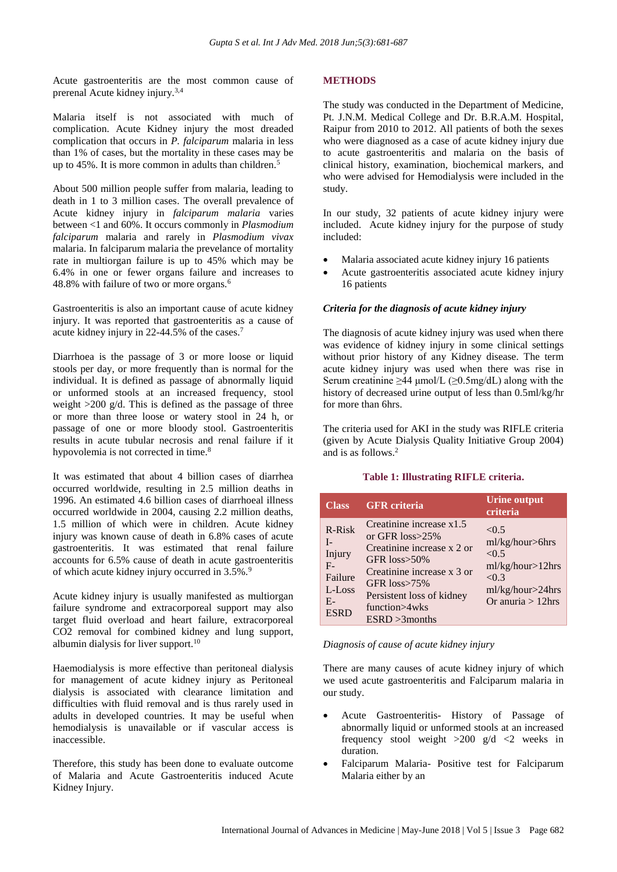Acute gastroenteritis are the most common cause of prerenal Acute kidney injury.3,4

Malaria itself is not associated with much of complication. Acute Kidney injury the most dreaded complication that occurs in *P. falciparum* malaria in less than 1% of cases, but the mortality in these cases may be up to 45%. It is more common in adults than children.<sup>5</sup>

About 500 million people suffer from malaria, leading to death in 1 to 3 million cases. The overall prevalence of Acute kidney injury in *falciparum malaria* varies between <1 and 60%. It occurs commonly in *Plasmodium falciparum* malaria and rarely in *Plasmodium vivax* malaria. In falciparum malaria the prevelance of mortality rate in multiorgan failure is up to 45% which may be 6.4% in one or fewer organs failure and increases to 48.8% with failure of two or more organs.<sup>6</sup>

Gastroenteritis is also an important cause of acute kidney injury. It was reported that gastroenteritis as a cause of acute kidney injury in 22-44.5% of the cases.<sup>7</sup>

Diarrhoea is the passage of 3 or more loose or liquid stools per day, or more frequently than is normal for the individual. It is defined as passage of abnormally liquid or unformed stools at an increased frequency, stool weight  $>200$  g/d. This is defined as the passage of three or more than three loose or watery stool in 24 h, or passage of one or more bloody stool. Gastroenteritis results in acute tubular necrosis and renal failure if it hypovolemia is not corrected in time.<sup>8</sup>

It was estimated that about 4 billion cases of diarrhea occurred worldwide, resulting in 2.5 million deaths in 1996. An estimated 4.6 billion cases of diarrhoeal illness occurred worldwide in 2004, causing 2.2 million deaths, 1.5 million of which were in children. Acute kidney injury was known cause of death in 6.8% cases of acute gastroenteritis. It was estimated that renal failure accounts for 6.5% cause of death in acute gastroenteritis of which acute kidney injury occurred in 3.5%.<sup>9</sup>

Acute kidney injury is usually manifested as multiorgan failure syndrome and extracorporeal support may also target fluid overload and heart failure, extracorporeal CO2 removal for combined kidney and lung support, albumin dialysis for liver support.<sup>10</sup>

Haemodialysis is more effective than peritoneal dialysis for management of acute kidney injury as Peritoneal dialysis is associated with clearance limitation and difficulties with fluid removal and is thus rarely used in adults in developed countries. It may be useful when hemodialysis is unavailable or if vascular access is inaccessible.

Therefore, this study has been done to evaluate outcome of Malaria and Acute Gastroenteritis induced Acute Kidney Injury.

# **METHODS**

The study was conducted in the Department of Medicine, Pt. J.N.M. Medical College and Dr. B.R.A.M. Hospital, Raipur from 2010 to 2012. All patients of both the sexes who were diagnosed as a case of acute kidney injury due to acute gastroenteritis and malaria on the basis of clinical history, examination, biochemical markers, and who were advised for Hemodialysis were included in the study.

In our study, 32 patients of acute kidney injury were included. Acute kidney injury for the purpose of study included:

- Malaria associated acute kidney injury 16 patients
- Acute gastroenteritis associated acute kidney injury 16 patients

# *Criteria for the diagnosis of acute kidney injury*

The diagnosis of acute kidney injury was used when there was evidence of kidney injury in some clinical settings without prior history of any Kidney disease. The term acute kidney injury was used when there was rise in Serum creatinine >44  $\mu$ umol/L (>0.5mg/dL) along with the history of decreased urine output of less than 0.5ml/kg/hr for more than 6hrs.

The criteria used for AKI in the study was RIFLE criteria (given by Acute Dialysis Quality Initiative Group 2004) and is as follows. 2

#### **Table 1: Illustrating RIFLE criteria.**

| <b>Class</b>                                                                     | <b>GFR</b> criteria                                                                                                                                                                                                            | Urine output<br>criteria                                                                                      |
|----------------------------------------------------------------------------------|--------------------------------------------------------------------------------------------------------------------------------------------------------------------------------------------------------------------------------|---------------------------------------------------------------------------------------------------------------|
| R-Risk<br>$I_{-}$<br>Injury<br>$F -$<br>Failure<br>L-Loss<br>$E-$<br><b>ESRD</b> | Creatinine increase x1.5<br>or GFR $loss \geq 25\%$<br>Creatinine increase x 2 or<br>GFR $loss > 50\%$<br>Creatinine increase x 3 or<br>GFR $loss \ge 75\%$<br>Persistent loss of kidney<br>function>4wks<br>$ESRD > 3$ months | < 0.5<br>ml/kg/hour>6hrs<br>< 0.5<br>ml/kg/hour > 12 hrs<br>< 0.3<br>ml/kg/hour>24hrs<br>Or anuria $> 12$ hrs |

#### *Diagnosis of cause of acute kidney injury*

There are many causes of acute kidney injury of which we used acute gastroenteritis and Falciparum malaria in our study.

- Acute Gastroenteritis- History of Passage of abnormally liquid or unformed stools at an increased frequency stool weight  $>200$  g/d  $<2$  weeks in duration.
- Falciparum Malaria- Positive test for Falciparum Malaria either by an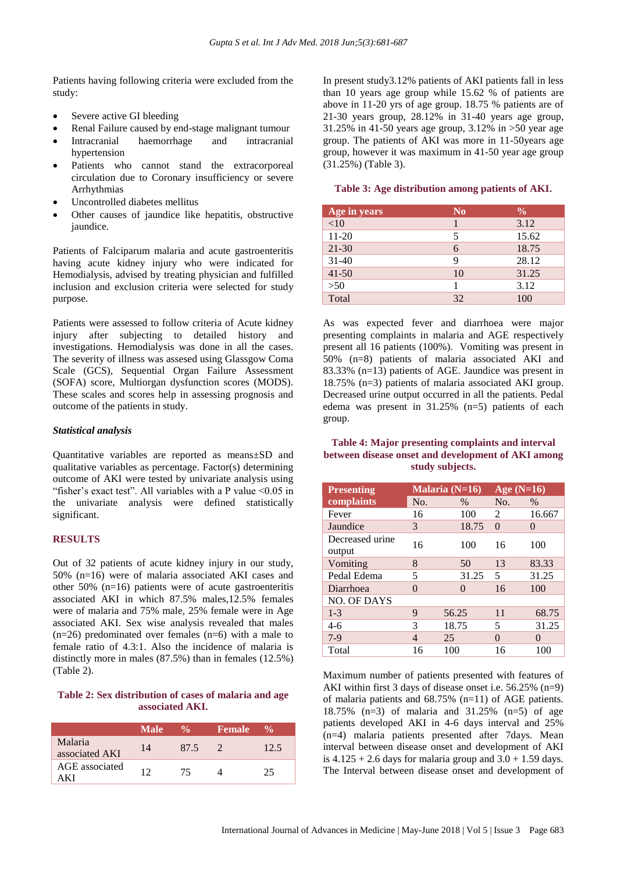Patients having following criteria were excluded from the study:

- Severe active GI bleeding
- Renal Failure caused by end-stage malignant tumour
- Intracranial haemorrhage and intracranial hypertension
- Patients who cannot stand the extracorporeal circulation due to Coronary insufficiency or severe Arrhythmias
- Uncontrolled diabetes mellitus
- Other causes of jaundice like hepatitis, obstructive iaundice.

Patients of Falciparum malaria and acute gastroenteritis having acute kidney injury who were indicated for Hemodialysis, advised by treating physician and fulfilled inclusion and exclusion criteria were selected for study purpose.

Patients were assessed to follow criteria of Acute kidney injury after subjecting to detailed history and investigations. Hemodialysis was done in all the cases. The severity of illness was assesed using Glassgow Coma Scale (GCS), Sequential Organ Failure Assessment (SOFA) score, Multiorgan dysfunction scores (MODS). These scales and scores help in assessing prognosis and outcome of the patients in study.

#### *Statistical analysis*

Quantitative variables are reported as means±SD and qualitative variables as percentage. Factor(s) determining outcome of AKI were tested by univariate analysis using "fisher's exact test". All variables with a P value  $\leq 0.05$  in the univariate analysis were defined statistically significant.

#### **RESULTS**

Out of 32 patients of acute kidney injury in our study, 50% (n=16) were of malaria associated AKI cases and other 50% (n=16) patients were of acute gastroenteritis associated AKI in which 87.5% males,12.5% females were of malaria and 75% male, 25% female were in Age associated AKI. Sex wise analysis revealed that males  $(n=26)$  predominated over females  $(n=6)$  with a male to female ratio of 4.3:1. Also the incidence of malaria is distinctly more in males (87.5%) than in females (12.5%) (Table 2).

# **Table 2: Sex distribution of cases of malaria and age associated AKI.**

|                           | <b>Male</b> | $\frac{0}{\alpha}$ | <b>Female</b> | $\frac{6}{10}$ |
|---------------------------|-------------|--------------------|---------------|----------------|
| Malaria<br>associated AKI | 14          | 87.5               |               | 12.5           |
| AGE associated<br>A K I   | 12          | 75                 |               | 25             |

In present study3.12% patients of AKI patients fall in less than 10 years age group while 15.62 % of patients are above in 11-20 yrs of age group. 18.75 % patients are of 21-30 years group, 28.12% in 31-40 years age group, 31.25% in 41-50 years age group, 3.12% in >50 year age group. The patients of AKI was more in 11-50years age group, however it was maximum in 41-50 year age group (31.25%) (Table 3).

#### **Table 3: Age distribution among patients of AKI.**

| Age in years | N <sub>0</sub> | $\frac{6}{9}$ |
|--------------|----------------|---------------|
| <10          |                | 3.12          |
| $11 - 20$    | 5              | 15.62         |
| $21 - 30$    | 6              | 18.75         |
| $31 - 40$    | 9              | 28.12         |
| $41 - 50$    | 10             | 31.25         |
| >50          |                | 3.12          |
| Total        | 32             | 100           |

As was expected fever and diarrhoea were major presenting complaints in malaria and AGE respectively present all 16 patients (100%). Vomiting was present in 50% (n=8) patients of malaria associated AKI and 83.33% (n=13) patients of AGE. Jaundice was present in 18.75% (n=3) patients of malaria associated AKI group. Decreased urine output occurred in all the patients. Pedal edema was present in 31.25% (n=5) patients of each group.

#### **Table 4: Major presenting complaints and interval between disease onset and development of AKI among study subjects.**

| <b>Presenting</b>         |     | Malaria $(N=16)$ | Age $(N=16)$   |          |
|---------------------------|-----|------------------|----------------|----------|
| complaints                | No. | $\frac{0}{0}$    | No.            | $\%$     |
| Fever                     | 16  | 100              | $\mathfrak{D}$ | 16.667   |
| Jaundice                  | 3   | 18.75            | $\Omega$       | $\theta$ |
| Decreased urine<br>output | 16  | 100              | 16             | 100      |
| Vomiting                  | 8   | 50               | 13             | 83.33    |
| Pedal Edema               | 5   | 31.25            | 5              | 31.25    |
| Diarrhoea                 | 0   | $\Omega$         | 16             | 100      |
| <b>NO. OF DAYS</b>        |     |                  |                |          |
| $1 - 3$                   | 9   | 56.25            | 11             | 68.75    |
| $4-6$                     | 3   | 18.75            | 5              | 31.25    |
| $7-9$                     | 4   | 25               | 0              | $\Omega$ |
| Total                     | 16  | 100              | 16             | 100      |

Maximum number of patients presented with features of AKI within first 3 days of disease onset i.e. 56.25% (n=9) of malaria patients and 68.75% (n=11) of AGE patients. 18.75% (n=3) of malaria and 31.25% (n=5) of age patients developed AKI in 4-6 days interval and 25% (n=4) malaria patients presented after 7days. Mean interval between disease onset and development of AKI is  $4.125 + 2.6$  days for malaria group and  $3.0 + 1.59$  days. The Interval between disease onset and development of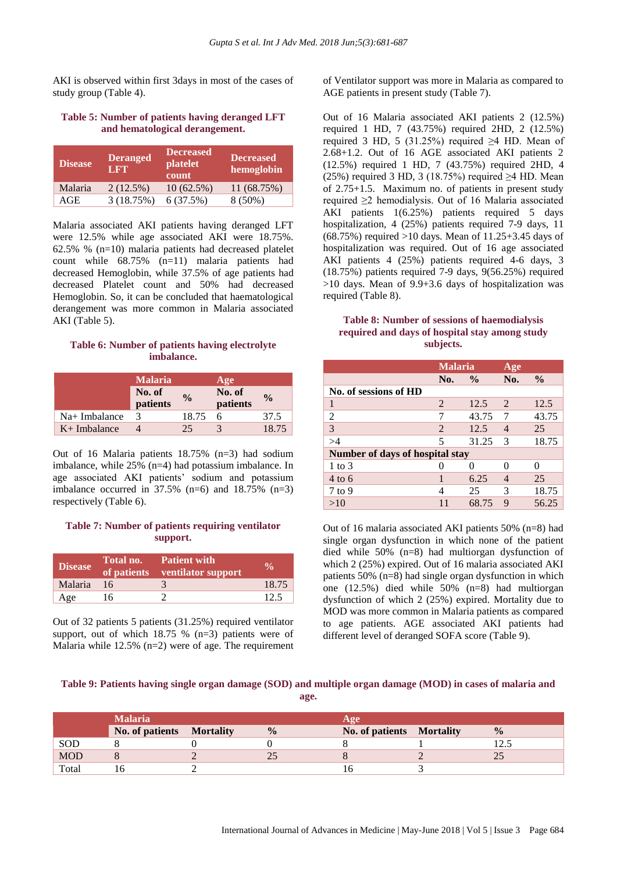AKI is observed within first 3days in most of the cases of study group (Table 4).

# **Table 5: Number of patients having deranged LFT and hematological derangement.**

| <b>Disease</b> | <b>Deranged</b><br><b>LET</b> | <b>Decreased</b><br>platelet<br>count | <b>Decreased</b><br>hemoglobin |
|----------------|-------------------------------|---------------------------------------|--------------------------------|
| Malaria        | 2(12.5%)                      | $10(62.5\%)$                          | 11 (68.75%)                    |
| AGE            | 3(18.75%)                     | 6(37.5%)                              | $8(50\%)$                      |

Malaria associated AKI patients having deranged LFT were 12.5% while age associated AKI were 18.75%. 62.5% % (n=10) malaria patients had decreased platelet count while 68.75% (n=11) malaria patients had decreased Hemoglobin, while 37.5% of age patients had decreased Platelet count and 50% had decreased Hemoglobin. So, it can be concluded that haematological derangement was more common in Malaria associated AKI (Table 5).

# **Table 6: Number of patients having electrolyte imbalance.**

|                 | <b>Malaria</b>     |               | Age                |               |
|-----------------|--------------------|---------------|--------------------|---------------|
|                 | No. of<br>patients | $\frac{6}{6}$ | No. of<br>patients | $\frac{0}{0}$ |
| $Na+$ Imbalance | 3                  | 18.75         | 6                  | 37.5          |
| $K+$ Imbalance  |                    | 25            |                    | 18.75         |

Out of 16 Malaria patients 18.75% (n=3) had sodium imbalance, while 25% (n=4) had potassium imbalance. In age associated AKI patients' sodium and potassium imbalance occurred in  $37.5\%$  (n=6) and  $18.75\%$  (n=3) respectively (Table 6).

# **Table 7: Number of patients requiring ventilator support.**

| <b>Disease</b> | Total no. | <b>Patient with</b><br>of patients ventilator support | $\mathbf{v}_0$ |
|----------------|-----------|-------------------------------------------------------|----------------|
| Malaria        | -16       |                                                       | 18.75          |
| Age            | 16        |                                                       | 12.5           |

Out of 32 patients 5 patients (31.25%) required ventilator support, out of which  $18.75 \%$  (n=3) patients were of Malaria while  $12.5\%$  (n=2) were of age. The requirement of Ventilator support was more in Malaria as compared to AGE patients in present study (Table 7).

Out of 16 Malaria associated AKI patients 2 (12.5%) required 1 HD, 7 (43.75%) required 2HD, 2 (12.5%) required 3 HD, 5 (31.25%) required ≥4 HD. Mean of 2.68+1.2. Out of 16 AGE associated AKI patients 2 (12.5%) required 1 HD, 7 (43.75%) required 2HD, 4 (25%) required 3 HD, 3 (18.75%) required  $\geq$ 4 HD. Mean of 2.75+1.5. Maximum no. of patients in present study required ≥2 hemodialysis. Out of 16 Malaria associated AKI patients 1(6.25%) patients required 5 days hospitalization, 4 (25%) patients required 7-9 days, 11 (68.75%) required  $>10$  days. Mean of  $11.25+3.45$  days of hospitalization was required. Out of 16 age associated AKI patients 4 (25%) patients required 4-6 days, 3 (18.75%) patients required 7-9 days, 9(56.25%) required >10 days. Mean of 9.9+3.6 days of hospitalization was required (Table 8).

#### **Table 8: Number of sessions of haemodialysis required and days of hospital stay among study subjects.**

|                                        | <b>Malaria</b>           |               | Age            |               |
|----------------------------------------|--------------------------|---------------|----------------|---------------|
|                                        | No.                      | $\frac{0}{0}$ | No.            | $\frac{0}{0}$ |
| No. of sessions of HD                  |                          |               |                |               |
| 1                                      | 2                        | 12.5          | 2              | 12.5          |
| $\overline{2}$                         | 7                        | 43.75         | 7              | 43.75         |
| 3                                      | $\overline{2}$           | 12.5          | $\overline{4}$ | 25            |
| >4                                     | $\overline{\mathcal{L}}$ | 31.25         | 3              | 18.75         |
| <b>Number of days of hospital stay</b> |                          |               |                |               |
| $1$ to $3$                             |                          |               | O              |               |
| $4 \text{ to } 6$                      | 1                        | 6.25          | $\overline{4}$ | 25            |
| $7$ to 9                               | 4                        | 25            | 3              | 18.75         |
| >10                                    | 11                       | 68.75         | 9              | 56.25         |

Out of 16 malaria associated AKI patients 50% (n=8) had single organ dysfunction in which none of the patient died while 50% (n=8) had multiorgan dysfunction of which 2 (25%) expired. Out of 16 malaria associated AKI patients 50% (n=8) had single organ dysfunction in which one (12.5%) died while 50% (n=8) had multiorgan dysfunction of which 2 (25%) expired. Mortality due to MOD was more common in Malaria patients as compared to age patients. AGE associated AKI patients had different level of deranged SOFA score (Table 9).

# **Table 9: Patients having single organ damage (SOD) and multiple organ damage (MOD) in cases of malaria and**

**age.**

|            | <b>Malaria</b>            |               | Age                       |               |
|------------|---------------------------|---------------|---------------------------|---------------|
|            | No. of patients Mortality | $\frac{0}{0}$ | No. of patients Mortality | $\frac{0}{0}$ |
| SOD        |                           |               |                           |               |
| <b>MOD</b> |                           |               |                           |               |
| Total      |                           |               |                           |               |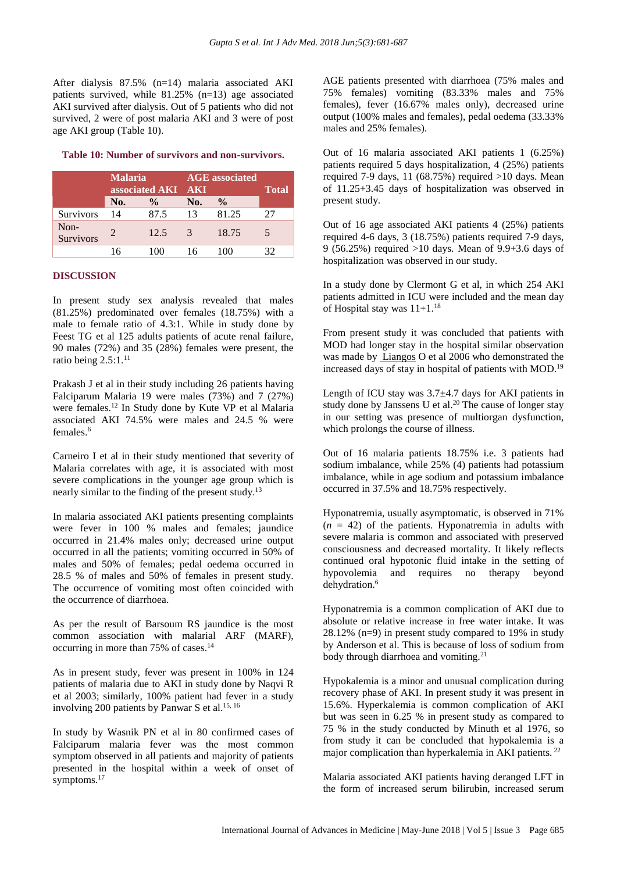After dialysis 87.5% (n=14) malaria associated AKI patients survived, while 81.25% (n=13) age associated AKI survived after dialysis. Out of 5 patients who did not survived, 2 were of post malaria AKI and 3 were of post age AKI group (Table 10).

#### **Table 10: Number of survivors and non-survivors.**

|                   | <b>Malaria</b><br>associated AKI |               | <b>AGE</b> associated<br><b>AKI</b> |               | <b>Total</b> |
|-------------------|----------------------------------|---------------|-------------------------------------|---------------|--------------|
|                   | No.                              | $\frac{0}{0}$ | No.                                 | $\frac{0}{0}$ |              |
| Survivors         | 14                               | 87.5          | 13                                  | 81.25         | 27           |
| Non-<br>Survivors |                                  | 12.5          | 3                                   | 18.75         |              |
|                   | 16                               |               |                                     |               | 32           |

#### **DISCUSSION**

In present study sex analysis revealed that males (81.25%) predominated over females (18.75%) with a male to female ratio of 4.3:1. While in study done by Feest TG et al 125 adults patients of acute renal failure, 90 males (72%) and 35 (28%) females were present, the ratio being  $2.5:1.^{11}$ 

Prakash J et al in their study including 26 patients having Falciparum Malaria 19 were males (73%) and 7 (27%) were females.<sup>12</sup> In Study done by Kute VP et al Malaria associated AKI 74.5% were males and 24.5 % were females.<sup>6</sup>

Carneiro I et al in their study mentioned that severity of Malaria correlates with age, it is associated with most severe complications in the younger age group which is nearly similar to the finding of the present study.<sup>13</sup>

In malaria associated AKI patients presenting complaints were fever in 100 % males and females; jaundice occurred in 21.4% males only; decreased urine output occurred in all the patients; vomiting occurred in 50% of males and 50% of females; pedal oedema occurred in 28.5 % of males and 50% of females in present study. The occurrence of vomiting most often coincided with the occurrence of diarrhoea.

As per the result of Barsoum RS jaundice is the most common association with malarial ARF (MARF), occurring in more than 75% of cases.<sup>14</sup>

As in present study, fever was present in 100% in 124 patients of malaria due to AKI in study done by Naqvi R et al 2003; similarly, 100% patient had fever in a study involving 200 patients by Panwar S et al.<sup>15, 16</sup>

In study by Wasnik PN et al in 80 confirmed cases of Falciparum malaria fever was the most common symptom observed in all patients and majority of patients presented in the hospital within a week of onset of symptoms.<sup>17</sup>

AGE patients presented with diarrhoea (75% males and 75% females) vomiting (83.33% males and 75% females), fever (16.67% males only), decreased urine output (100% males and females), pedal oedema (33.33% males and 25% females).

Out of 16 malaria associated AKI patients 1 (6.25%) patients required 5 days hospitalization, 4 (25%) patients required 7-9 days, 11 (68.75%) required  $>10$  days. Mean of 11.25+3.45 days of hospitalization was observed in present study.

Out of 16 age associated AKI patients 4 (25%) patients required 4-6 days, 3 (18.75%) patients required 7-9 days, 9 (56.25%) required >10 days. Mean of 9.9+3.6 days of hospitalization was observed in our study.

In a study done by Clermont G et al, in which 254 AKI patients admitted in ICU were included and the mean day of Hospital stay was  $11+1$ .<sup>18</sup>

From present study it was concluded that patients with MOD had longer stay in the hospital similar observation was made by [Liangos](http://cjasn.asnjournals.org/search?author1=Orfeas+Liangos&sortspec=date&submit=Submit) O et al 2006 who demonstrated the increased days of stay in hospital of patients with MOD.<sup>19</sup>

Length of ICU stay was 3.7±4.7 days for AKI patients in study done by [Janssens U](http://www.ncbi.nlm.nih.gov/pubmed?term=Janssens%20U%5BAuthor%5D&cauthor=true&cauthor_uid=11030159) et al.<sup>20</sup> The cause of longer stay in our setting was presence of multiorgan dysfunction, which prolongs the course of illness.

Out of 16 malaria patients 18.75% i.e. 3 patients had sodium imbalance, while 25% (4) patients had potassium imbalance, while in age sodium and potassium imbalance occurred in 37.5% and 18.75% respectively.

Hyponatremia, usually asymptomatic, is observed in 71%  $(n = 42)$  of the patients. Hyponatremia in adults with severe malaria is common and associated with preserved consciousness and decreased mortality. It likely reflects continued oral hypotonic fluid intake in the setting of hypovolemia and requires no therapy beyond dehydration.<sup>6</sup>

Hyponatremia is a common complication of AKI due to absolute or relative increase in free water intake. It was 28.12% (n=9) in present study compared to 19% in study by Anderson et al. This is because of loss of sodium from body through diarrhoea and vomiting.<sup>21</sup>

Hypokalemia is a minor and unusual complication during recovery phase of AKI. In present study it was present in 15.6%. Hyperkalemia is common complication of AKI but was seen in 6.25 % in present study as compared to 75 % in the study conducted by Minuth et al 1976, so from study it can be concluded that hypokalemia is a major complication than hyperkalemia in AKI patients. <sup>22</sup>

Malaria associated AKI patients having deranged LFT in the form of increased serum bilirubin, increased serum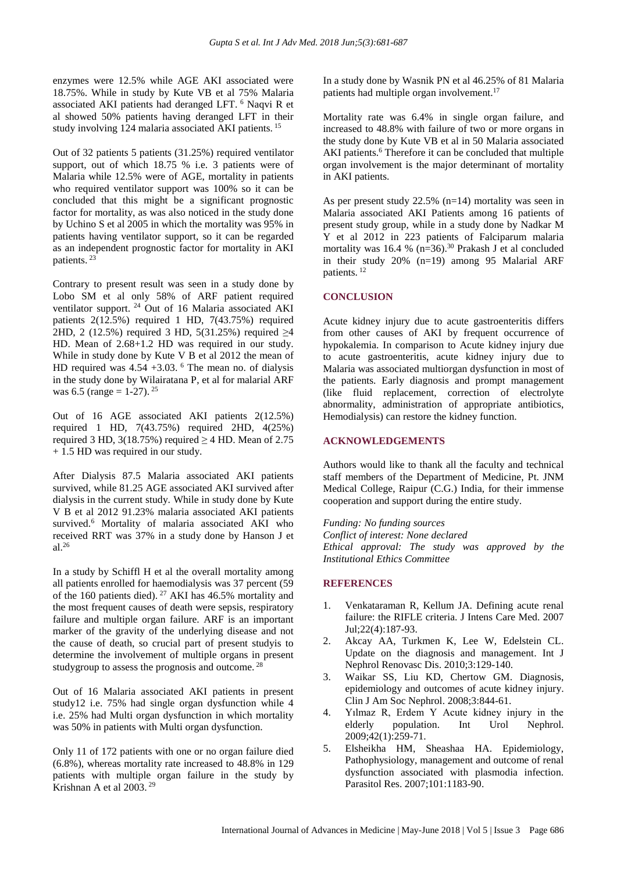enzymes were 12.5% while AGE AKI associated were 18.75%. While in study by Kute VB et al 75% Malaria associated AKI patients had deranged LFT. <sup>6</sup> Naqvi R et al showed 50% patients having deranged LFT in their study involving 124 malaria associated AKI patients.<sup>15</sup>

Out of 32 patients 5 patients (31.25%) required ventilator support, out of which 18.75 % i.e. 3 patients were of Malaria while 12.5% were of AGE, mortality in patients who required ventilator support was 100% so it can be concluded that this might be a significant prognostic factor for mortality, as was also noticed in the study done by Uchino S et al 2005 in which the mortality was 95% in patients having ventilator support, so it can be regarded as an independent prognostic factor for mortality in AKI patients. <sup>23</sup>

Contrary to present result was seen in a study done by Lobo SM et al only 58% of ARF patient required ventilator support. <sup>24</sup> Out of 16 Malaria associated AKI patients 2(12.5%) required 1 HD, 7(43.75%) required 2HD, 2 (12.5%) required 3 HD, 5(31.25%) required ≥4 HD. Mean of 2.68+1.2 HD was required in our study. While in study done by Kute V B et al 2012 the mean of HD required was  $4.54 + 3.03$ . <sup>6</sup> The mean no. of dialysis in the study done by [Wilairatana P,](http://www.ncbi.nlm.nih.gov/pubmed?term=Wilairatana%20P%5BAuthor%5D&cauthor=true&cauthor_uid=10072141) et al for malarial ARF was 6.5 (range = 1-27). <sup>25</sup>

Out of 16 AGE associated AKI patients 2(12.5%) required 1 HD, 7(43.75%) required 2HD, 4(25%) required 3 HD, 3(18.75%) required  $\geq$  4 HD. Mean of 2.75 + 1.5 HD was required in our study.

After Dialysis 87.5 Malaria associated AKI patients survived, while 81.25 AGE associated AKI survived after dialysis in the current study. While in study done by Kute V B et al 2012 91.23% malaria associated AKI patients survived.<sup>6</sup> Mortality of malaria associated AKI who received RRT was 37% in a study done by Hanson J et al.<sup>26</sup>

In a study by Schiffl H et al the overall mortality among all patients enrolled for haemodialysis was 37 percent (59 of the 160 patients died). <sup>27</sup> AKI has 46.5% mortality and the most frequent causes of death were sepsis, respiratory failure and multiple organ failure. ARF is an important marker of the gravity of the underlying disease and not the cause of death, so crucial part of present studyis to determine the involvement of multiple organs in present studygroup to assess the prognosis and outcome. <sup>28</sup>

Out of 16 Malaria associated AKI patients in present study12 i.e. 75% had single organ dysfunction while 4 i.e. 25% had Multi organ dysfunction in which mortality was 50% in patients with Multi organ dysfunction.

Only 11 of 172 patients with one or no organ failure died (6.8%), whereas mortality rate increased to 48.8% in 129 patients with multiple organ failure in the study by Krishnan A et al 2003. <sup>29</sup>

In a study done by Wasnik PN et al 46.25% of 81 Malaria patients had multiple organ involvement.<sup>17</sup>

Mortality rate was 6.4% in single organ failure, and increased to 48.8% with failure of two or more organs in the study done by Kute VB et al in 50 Malaria associated AKI patients.<sup>6</sup> Therefore it can be concluded that multiple organ involvement is the major determinant of mortality in AKI patients.

As per present study 22.5% (n=14) mortality was seen in Malaria associated AKI Patients among 16 patients of present study group, while in a study done by Nadkar M Y et al 2012 in 223 patients of Falciparum malaria mortality was 16.4 %  $(n=36)$ .<sup>30</sup> Prakash J et al concluded in their study 20% (n=19) among 95 Malarial ARF patients. <sup>12</sup>

#### **CONCLUSION**

Acute kidney injury due to acute gastroenteritis differs from other causes of AKI by frequent occurrence of hypokalemia. In comparison to Acute kidney injury due to acute gastroenteritis, acute kidney injury due to Malaria was associated multiorgan dysfunction in most of the patients. Early diagnosis and prompt management (like fluid replacement, correction of electrolyte abnormality, administration of appropriate antibiotics, Hemodialysis) can restore the kidney function.

#### **ACKNOWLEDGEMENTS**

Authors would like to thank all the faculty and technical staff members of the Department of Medicine, Pt. JNM Medical College, Raipur (C.G.) India, for their immense cooperation and support during the entire study.

*Funding: No funding sources Conflict of interest: None declared Ethical approval: The study was approved by the Institutional Ethics Committee*

#### **REFERENCES**

- 1. Venkataraman R, Kellum JA. Defining acute renal failure: the RIFLE criteria. J Intens Care Med. 2007 Jul;22(4):187-93.
- 2. Akcay AA, Turkmen K, Lee W, Edelstein CL. Update on the diagnosis and management. Int J Nephrol Renovasc Dis. 2010;3:129-140.
- 3. Waikar SS, Liu KD, Chertow GM. Diagnosis, epidemiology and outcomes of acute kidney injury. Clin J Am Soc Nephrol. 2008;3:844-61.
- 4. Yılmaz R, Erdem Y Acute kidney injury in the elderly population. Int Urol Nephrol. 2009;42(1):259-71.
- 5. Elsheikha HM, Sheashaa HA. Epidemiology, Pathophysiology, management and outcome of renal dysfunction associated with plasmodia infection. Parasitol Res. 2007;101:1183-90.